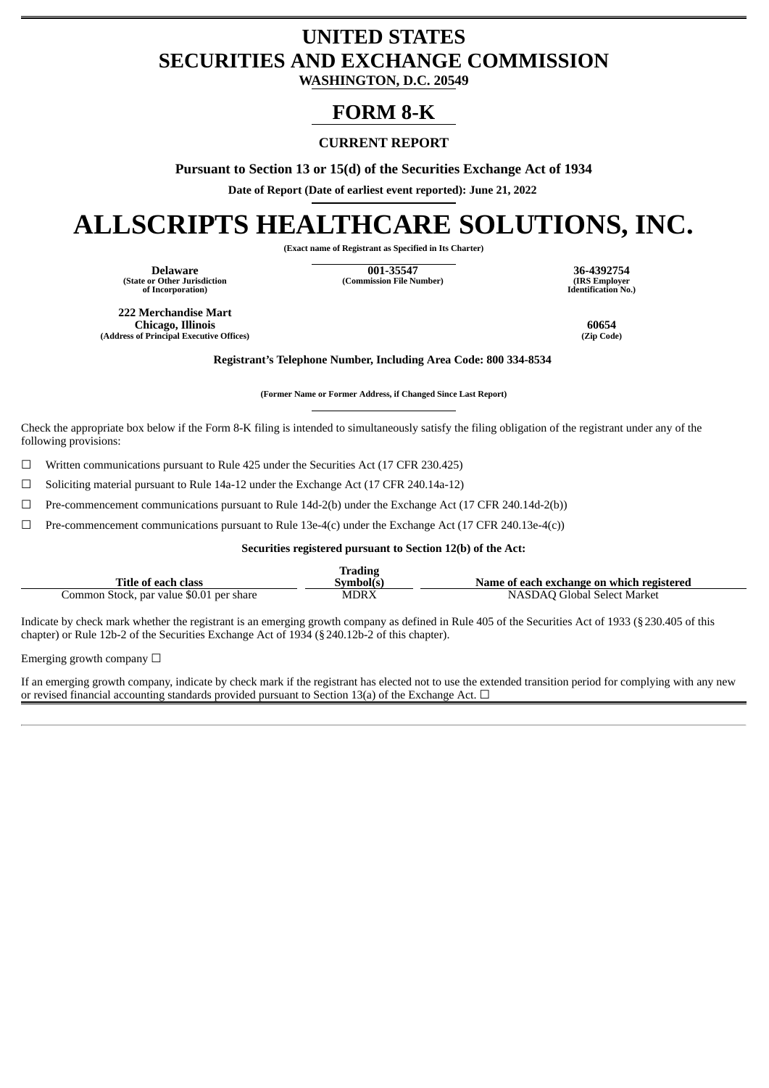## **UNITED STATES SECURITIES AND EXCHANGE COMMISSION**

**WASHINGTON, D.C. 20549**

### **FORM 8-K**

### **CURRENT REPORT**

**Pursuant to Section 13 or 15(d) of the Securities Exchange Act of 1934**

**Date of Report (Date of earliest event reported): June 21, 2022**

# **ALLSCRIPTS HEALTHCARE SOLUTIONS, INC.**

**(Exact name of Registrant as Specified in Its Charter)**

**(State or Other Jurisdiction of Incorporation)**

**Delaware 001-35547 36-4392754 (Commission File Number) (IRS Employer**

**Identification No.)**

**222 Merchandise Mart Chicago, Illinois 60654 (Address of Principal Executive Offices)** 

**Registrant's Telephone Number, Including Area Code: 800 334-8534**

**(Former Name or Former Address, if Changed Since Last Report)**

Check the appropriate box below if the Form 8-K filing is intended to simultaneously satisfy the filing obligation of the registrant under any of the following provisions:

 $\Box$  Written communications pursuant to Rule 425 under the Securities Act (17 CFR 230.425)

☐ Soliciting material pursuant to Rule 14a-12 under the Exchange Act (17 CFR 240.14a-12)

 $\Box$  Pre-commencement communications pursuant to Rule 14d-2(b) under the Exchange Act (17 CFR 240.14d-2(b))

 $\Box$  Pre-commencement communications pursuant to Rule 13e-4(c) under the Exchange Act (17 CFR 240.13e-4(c))

**Securities registered pursuant to Section 12(b) of the Act:**

|                                          | <b>Trading</b> |                                           |
|------------------------------------------|----------------|-------------------------------------------|
| Title of each class                      | Svmbol(s)      | Name of each exchange on which registered |
| Common Stock, par value \$0.01 per share | MDRX           | NASDAO Global Select Market               |

Indicate by check mark whether the registrant is an emerging growth company as defined in Rule 405 of the Securities Act of 1933 (§230.405 of this chapter) or Rule 12b-2 of the Securities Exchange Act of 1934 (§240.12b-2 of this chapter).

Emerging growth company  $\Box$ 

If an emerging growth company, indicate by check mark if the registrant has elected not to use the extended transition period for complying with any new or revised financial accounting standards provided pursuant to Section 13(a) of the Exchange Act.  $\Box$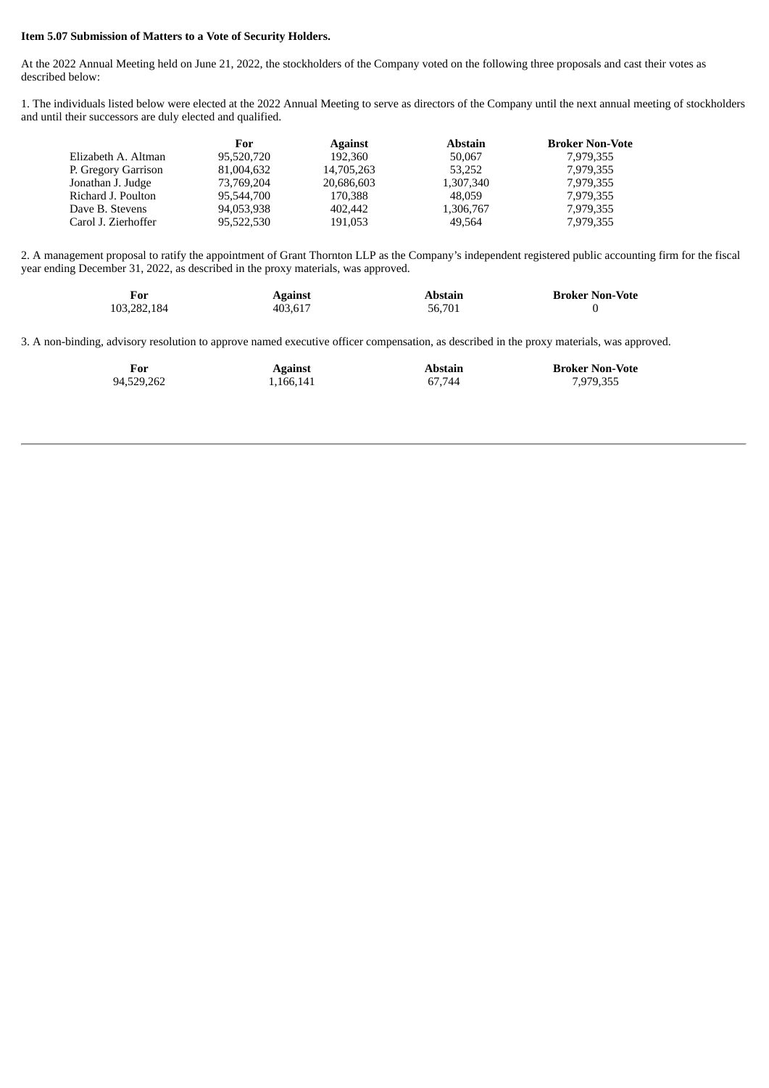#### **Item 5.07 Submission of Matters to a Vote of Security Holders.**

At the 2022 Annual Meeting held on June 21, 2022, the stockholders of the Company voted on the following three proposals and cast their votes as described below:

1. The individuals listed below were elected at the 2022 Annual Meeting to serve as directors of the Company until the next annual meeting of stockholders and until their successors are duly elected and qualified.

|                     | For        | <b>Against</b> | <b>Abstain</b> | <b>Broker Non-Vote</b> |
|---------------------|------------|----------------|----------------|------------------------|
| Elizabeth A. Altman | 95,520,720 | 192.360        | 50,067         | 7.979.355              |
| P. Gregory Garrison | 81,004,632 | 14,705,263     | 53.252         | 7.979.355              |
| Jonathan J. Judge   | 73.769.204 | 20,686,603     | 1,307,340      | 7.979.355              |
| Richard J. Poulton  | 95,544,700 | 170,388        | 48,059         | 7,979,355              |
| Dave B. Stevens     | 94,053,938 | 402,442        | 1,306,767      | 7,979,355              |
| Carol J. Zierhoffer | 95.522.530 | 191,053        | 49.564         | 7,979,355              |
|                     |            |                |                |                        |

2. A management proposal to ratify the appointment of Grant Thornton LLP as the Company's independent registered public accounting firm for the fiscal year ending December 31, 2022, as described in the proxy materials, was approved.

| For         | <b>Against</b> | Abstain | <b>Broker Non-Vote</b> |
|-------------|----------------|---------|------------------------|
| 103,282,184 | 403.617        | 56.701  |                        |

3. A non-binding, advisory resolution to approve named executive officer compensation, as described in the proxy materials, was approved.

| For        | Against   | Abstain | <b>Broker Non-Vote</b> |
|------------|-----------|---------|------------------------|
| 94,529,262 | 1,166,141 | 67.744  | 7,979,355              |